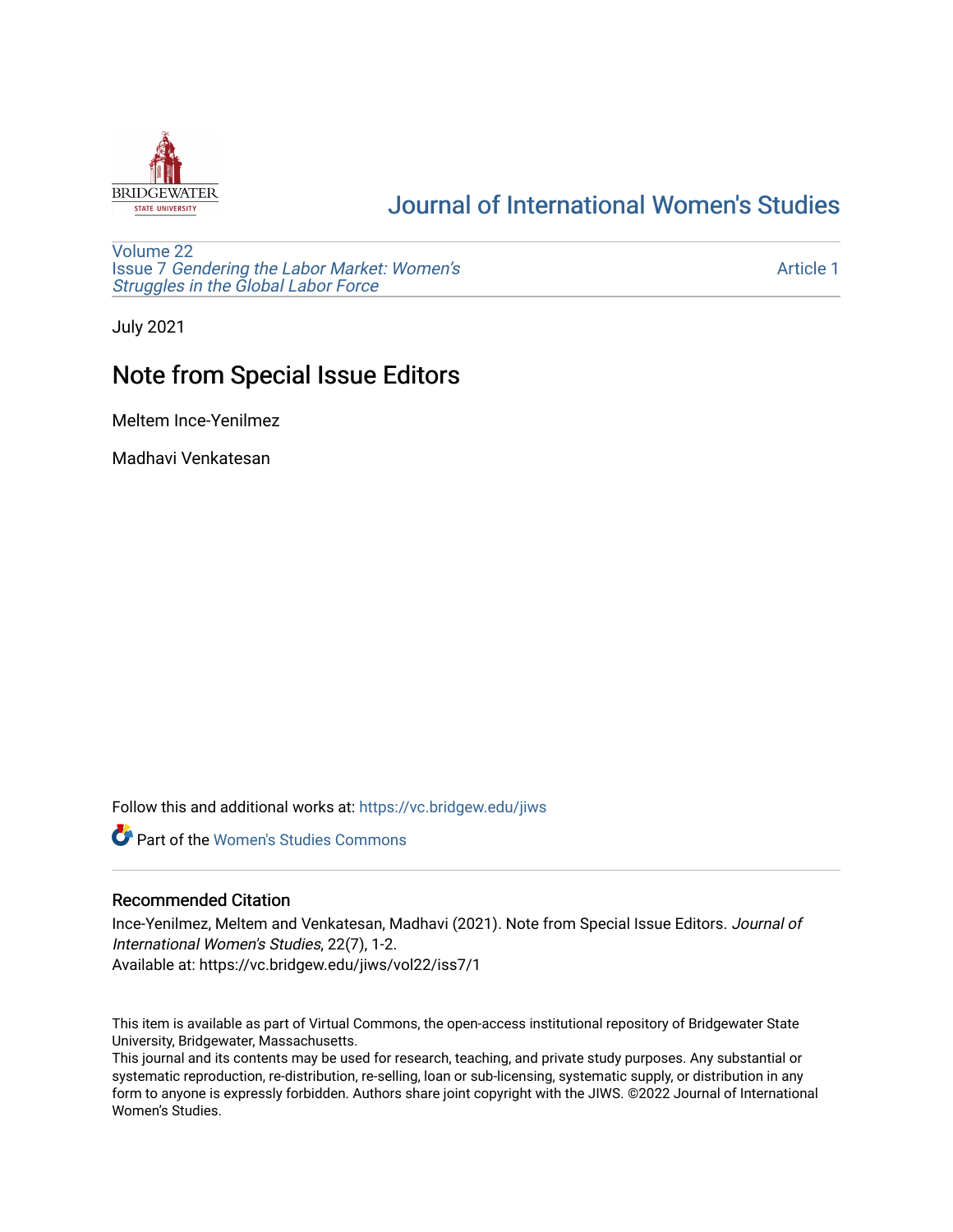

## [Journal of International Women's Studies](https://vc.bridgew.edu/jiws)

[Volume 22](https://vc.bridgew.edu/jiws/vol22) Issue 7 [Gendering the Labor Market: Women's](https://vc.bridgew.edu/jiws/vol22/iss7) [Struggles in the Global Labor Force](https://vc.bridgew.edu/jiws/vol22/iss7)

[Article 1](https://vc.bridgew.edu/jiws/vol22/iss7/1) 

July 2021

# Note from Special Issue Editors

Meltem Ince-Yenilmez

Madhavi Venkatesan

Follow this and additional works at: [https://vc.bridgew.edu/jiws](https://vc.bridgew.edu/jiws?utm_source=vc.bridgew.edu%2Fjiws%2Fvol22%2Fiss7%2F1&utm_medium=PDF&utm_campaign=PDFCoverPages)

**C** Part of the Women's Studies Commons

### Recommended Citation

Ince-Yenilmez, Meltem and Venkatesan, Madhavi (2021). Note from Special Issue Editors. Journal of International Women's Studies, 22(7), 1-2. Available at: https://vc.bridgew.edu/jiws/vol22/iss7/1

This item is available as part of Virtual Commons, the open-access institutional repository of Bridgewater State University, Bridgewater, Massachusetts.

This journal and its contents may be used for research, teaching, and private study purposes. Any substantial or systematic reproduction, re-distribution, re-selling, loan or sub-licensing, systematic supply, or distribution in any form to anyone is expressly forbidden. Authors share joint copyright with the JIWS. ©2022 Journal of International Women's Studies.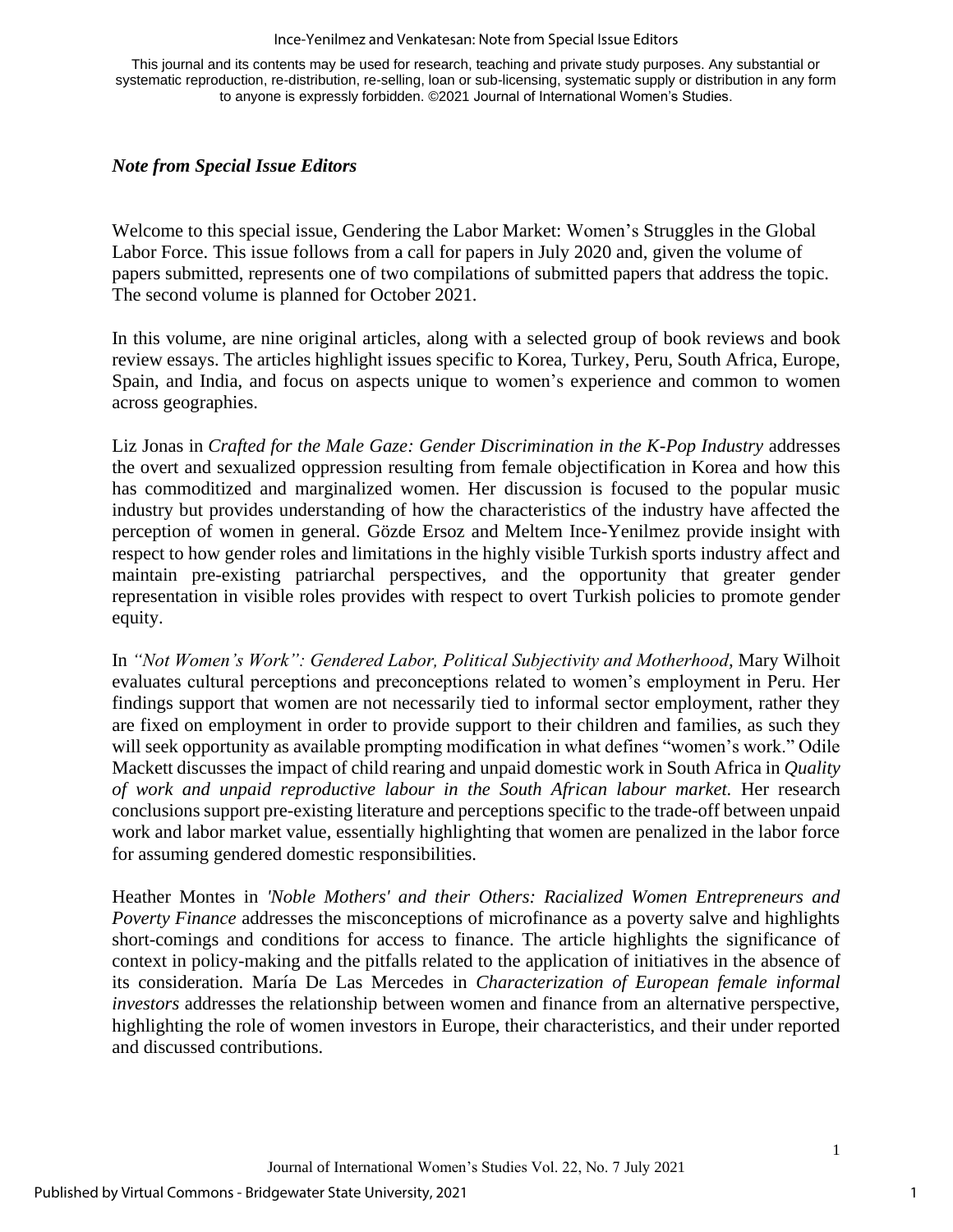#### Ince-Yenilmez and Venkatesan: Note from Special Issue Editors

This journal and its contents may be used for research, teaching and private study purposes. Any substantial or systematic reproduction, re-distribution, re-selling, loan or sub-licensing, systematic supply or distribution in any form to anyone is expressly forbidden. ©2021 Journal of International Women's Studies.

### *Note from Special Issue Editors*

Welcome to this special issue, Gendering the Labor Market: Women's Struggles in the Global Labor Force. This issue follows from a call for papers in July 2020 and, given the volume of papers submitted, represents one of two compilations of submitted papers that address the topic. The second volume is planned for October 2021.

In this volume, are nine original articles, along with a selected group of book reviews and book review essays. The articles highlight issues specific to Korea, Turkey, Peru, South Africa, Europe, Spain, and India, and focus on aspects unique to women's experience and common to women across geographies.

Liz Jonas in *Crafted for the Male Gaze: Gender Discrimination in the K-Pop Industry* addresses the overt and sexualized oppression resulting from female objectification in Korea and how this has commoditized and marginalized women. Her discussion is focused to the popular music industry but provides understanding of how the characteristics of the industry have affected the perception of women in general*.* Gözde Ersoz and Meltem Ince-Yenilmez provide insight with respect to how gender roles and limitations in the highly visible Turkish sports industry affect and maintain pre-existing patriarchal perspectives, and the opportunity that greater gender representation in visible roles provides with respect to overt Turkish policies to promote gender equity.

In *"Not Women's Work": Gendered Labor, Political Subjectivity and Motherhood,* Mary Wilhoit evaluates cultural perceptions and preconceptions related to women's employment in Peru. Her findings support that women are not necessarily tied to informal sector employment, rather they are fixed on employment in order to provide support to their children and families, as such they will seek opportunity as available prompting modification in what defines "women's work." Odile Mackett discusses the impact of child rearing and unpaid domestic work in South Africa in *Quality of work and unpaid reproductive labour in the South African labour market.* Her research conclusions support pre-existing literature and perceptions specific to the trade-off between unpaid work and labor market value, essentially highlighting that women are penalized in the labor force for assuming gendered domestic responsibilities.

Heather Montes in *'Noble Mothers' and their Others: Racialized Women Entrepreneurs and Poverty Finance* addresses the misconceptions of microfinance as a poverty salve and highlights short-comings and conditions for access to finance. The article highlights the significance of context in policy-making and the pitfalls related to the application of initiatives in the absence of its consideration. María De Las Mercedes in *Characterization of European female informal investors* addresses the relationship between women and finance from an alternative perspective, highlighting the role of women investors in Europe, their characteristics, and their under reported and discussed contributions.

1